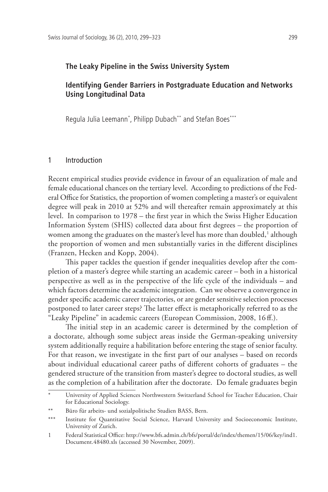### **The Leaky Pipeline in the Swiss University System**

# **Identifying Gender Barriers in Postgraduate Education and Networks Using Longitudinal Data**

Regula Julia Leemann\* , Philipp Dubach\*\* and Stefan Boes\*\*\*

#### 1 Introduction

Recent empirical studies provide evidence in favour of an equalization of male and female educational chances on the tertiary level. According to predictions of the Federal Office for Statistics, the proportion of women completing a master's or equivalent degree will peak in 2010 at 52% and will thereafter remain approximately at this level. In comparison to 1978 – the first year in which the Swiss Higher Education Information System (SHIS) collected data about first degrees – the proportion of women among the graduates on the master's level has more than doubled,<sup>1</sup> although the proportion of women and men substantially varies in the different disciplines (Franzen, Hecken and Kopp, 2004).

This paper tackles the question if gender inequalities develop after the completion of a master's degree while starting an academic career – both in a historical perspective as well as in the perspective of the life cycle of the individuals – and which factors determine the academic integration. Can we observe a convergence in gender specific academic career trajectories, or are gender sensitive selection processes postponed to later career steps? The latter effect is metaphorically referred to as the "Leaky Pipeline" in academic careers (European Commission, 2008, 16 ff.).

The initial step in an academic career is determined by the completion of a doctorate, although some subject areas inside the German-speaking university system additionally require a habilitation before entering the stage of senior faculty. For that reason, we investigate in the first part of our analyses – based on records about individual educational career paths of different cohorts of graduates – the gendered structure of the transition from master's degree to doctoral studies, as well as the completion of a habilitation after the doctorate. Do female graduates begin

University of Applied Sciences Northwestern Switzerland School for Teacher Education, Chair for Educational Sociology.

<sup>\*\*</sup> Büro für arbeits- und sozialpolitische Studien BASS, Bern.

<sup>\*\*\*</sup> Institute for Quantitative Social Science, Harvard University and Socioeconomic Institute, University of Zurich.

<sup>1</sup> Federal Statistical Office: http://www.bfs.admin.ch/bfs/portal/de/index/themen/15/06/key/ind1. Document.48480.xls (accessed 30 November, 2009).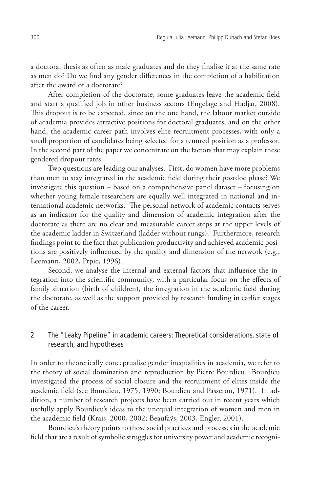a doctoral thesis as often as male graduates and do they finalise it at the same rate as men do? Do we find any gender differences in the completion of a habilitation after the award of a doctorate?

After completion of the doctorate, some graduates leave the academic field and start a qualified job in other business sectors (Engelage and Hadjar, 2008). This dropout is to be expected, since on the one hand, the labour market outside of academia provides attractive positions for doctoral graduates, and on the other hand, the academic career path involves elite recruitment processes, with only a small proportion of candidates being selected for a tenured position as a professor. In the second part of the paper we concentrate on the factors that may explain these gendered dropout rates.

Two questions are leading our analyses. First, do women have more problems than men to stay integrated in the academic field during their postdoc phase? We investigate this question – based on a comprehensive panel dataset – focusing on whether young female researchers are equally well integrated in national and international academic networks. The personal network of academic contacts serves as an indicator for the quality and dimension of academic integration after the doctorate as there are no clear and measurable career steps at the upper levels of the academic ladder in Switzerland (ladder without rungs). Furthermore, research findings point to the fact that publication productivity and achieved academic positions are positively influenced by the quality and dimension of the network (e.g., Leemann, 2002, Prpic, 1996).

Second, we analyse the internal and external factors that influence the integration into the scientific community, with a particular focus on the effects of family situation (birth of children), the integration in the academic field during the doctorate, as well as the support provided by research funding in earlier stages of the career.

# 2 The "Leaky Pipeline" in academic careers: Theoretical considerations, state of research, and hypotheses

In order to theoretically conceptualise gender inequalities in academia, we refer to the theory of social domination and reproduction by Pierre Bourdieu. Bourdieu investigated the process of social closure and the recruitment of elites inside the academic field (see Bourdieu, 1975, 1990; Bourdieu and Passeron, 1971). In addition, a number of research projects have been carried out in recent years which usefully apply Bourdieu's ideas to the unequal integration of women and men in the academic field (Krais, 2000, 2002; Beaufaÿs, 2003, Engler, 2001).

Bourdieu's theory points to those social practices and processes in the academic field that are a result of symbolic struggles for university power and academic recogni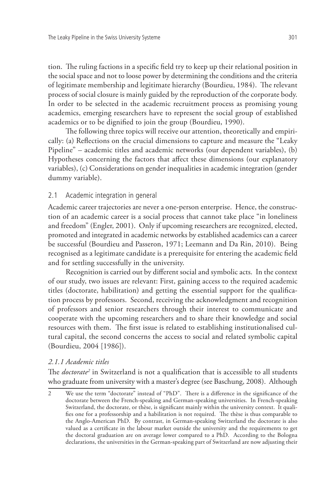tion. The ruling factions in a specific field try to keep up their relational position in the social space and not to loose power by determining the conditions and the criteria of legitimate membership and legitimate hierarchy (Bourdieu, 1984). The relevant process of social closure is mainly guided by the reproduction of the corporate body. In order to be selected in the academic recruitment process as promising young academics, emerging researchers have to represent the social group of established academics or to be dignified to join the group (Bourdieu, 1990).

The following three topics will receive our attention, theoretically and empirically: (a) Reflections on the crucial dimensions to capture and measure the "Leaky Pipeline" – academic titles and academic networks (our dependent variables), (b) Hypotheses concerning the factors that affect these dimensions (our explanatory variables), (c) Considerations on gender inequalities in academic integration (gender dummy variable).

## 2.1 Academic integration in general

Academic career trajectories are never a one-person enterprise. Hence, the construction of an academic career is a social process that cannot take place "in loneliness and freedom" (Engler, 2001). Only if upcoming researchers are recognized, elected, promoted and integrated in academic networks by established academics can a career be successful (Bourdieu and Passeron, 1971; Leemann and Da Rin, 2010). Being recognised as a legitimate candidate is a prerequisite for entering the academic field and for settling successfully in the university.

Recognition is carried out by different social and symbolic acts. In the context of our study, two issues are relevant: First, gaining access to the required academic titles (doctorate, habilitation) and getting the essential support for the qualification process by professors. Second, receiving the acknowledgment and recognition of professors and senior researchers through their interest to communicate and cooperate with the upcoming researchers and to share their knowledge and social resources with them. The first issue is related to establishing institutionalised cultural capital, the second concerns the access to social and related symbolic capital (Bourdieu, 2004 [1986]).

## *2.1.1 Academic titles*

The *doctorate2* in Switzerland is not a qualification that is accessible to all students who graduate from university with a master's degree (see Baschung, 2008). Although

<sup>2</sup> We use the term "doctorate" instead of "PhD". There is a difference in the significance of the doctorate between the French-speaking and German-speaking universities. In French-speaking Switzerland, the doctorate, or thèse, is significant mainly within the university context. It qualifies one for a professorship and a habilitation is not required. The thèse is thus comparable to the Anglo-American PhD. By contrast, in German-speaking Switzerland the doctorate is also valued as a certificate in the labour market outside the university and the requirements to get the doctoral graduation are on average lower compared to a PhD. According to the Bologna declarations, the universities in the German-speaking part of Switzerland are now adjusting their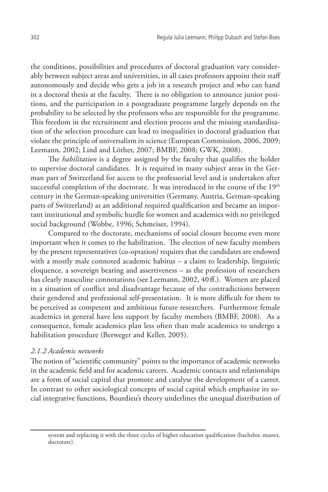the conditions, possibilities and procedures of doctoral graduation vary considerably between subject areas and universities, in all cases professors appoint their staff autonomously and decide who gets a job in a research project and who can hand in a doctoral thesis at the faculty. There is no obligation to announce junior positions, and the participation in a postgraduate programme largely depends on the probability to be selected by the professors who are responsible for the programme. This freedom in the recruitment and election process and the missing standardisation of the selection procedure can lead to inequalities in doctoral graduation that violate the principle of universalism in science (European Commission, 2006, 2009; Leemann, 2002; Lind and Löther, 2007; BMBF, 2008; GWK, 2008).

The *habilitation* is a degree assigned by the faculty that qualifies the holder to supervise doctoral candidates. It is required in many subject areas in the German part of Switzerland for access to the professorial level and is undertaken after successful completion of the doctorate. It was introduced in the course of the 19<sup>th</sup> century in the German-speaking universities (Germany, Austria, German-speaking parts of Switzerland) as an additional required qualification and became an important institutional and symbolic hurdle for women and academics with no privileged social background (Wobbe, 1996; Schmeiser, 1994).

Compared to the doctorate, mechanisms of social closure become even more important when it comes to the habilitation. The election of new faculty members by the present representatives (co-optation) requires that the candidates are endowed with a mostly male connoted academic habitus – a claim to leadership, linguistic eloquence, a sovereign bearing and assertiveness – as the profession of researchers has clearly masculine connotations (see Leemann, 2002, 40 ff.). Women are placed in a situation of conflict and disadvantage because of the contradictions between their gendered and professional self-presentation. It is more difficult for them to be perceived as competent and ambitious future researchers. Furthermore female academics in general have less support by faculty members (BMBF, 2008). As a consequence, female academics plan less often than male academics to undergo a habilitation procedure (Berweger and Keller, 2005).

### *2.1.2 Academic networks*

The notion of "scientific community" points to the importance of academic networks in the academic field and for academic careers. Academic contacts and relationships are a form of social capital that promote and catalyse the development of a career. In contrast to other sociological concepts of social capital which emphasize its social integrative functions, Bourdieu's theory underlines the unequal distribution of

system and replacing it with the three cycles of higher education qualification (bachelor, master, doctorate).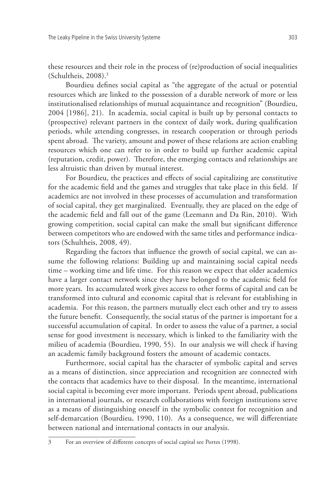these resources and their role in the process of (re)production of social inequalities (Schultheis, 2008).3

Bourdieu defines social capital as "the aggregate of the actual or potential resources which are linked to the possession of a durable network of more or less institutionalised relationships of mutual acquaintance and recognition" (Bourdieu, 2004 [1986], 21). In academia, social capital is built up by personal contacts to (prospective) relevant partners in the context of daily work, during qualification periods, while attending congresses, in research cooperation or through periods spent abroad. The variety, amount and power of these relations are action enabling resources which one can refer to in order to build up further academic capital (reputation, credit, power). Therefore, the emerging contacts and relationships are less altruistic than driven by mutual interest.

For Bourdieu, the practices and effects of social capitalizing are constitutive for the academic field and the games and struggles that take place in this field. If academics are not involved in these processes of accumulation and transformation of social capital, they get marginalized. Eventually, they are placed on the edge of the academic field and fall out of the game (Leemann and Da Rin, 2010). With growing competition, social capital can make the small but significant difference between competitors who are endowed with the same titles and performance indicators (Schultheis, 2008, 49).

Regarding the factors that influence the growth of social capital, we can assume the following relations: Building up and maintaining social capital needs time – working time and life time. For this reason we expect that older academics have a larger contact network since they have belonged to the academic field for more years. Its accumulated work gives access to other forms of capital and can be transformed into cultural and economic capital that is relevant for establishing in academia. For this reason, the partners mutually elect each other and try to assess the future benefit. Consequently, the social status of the partner is important for a successful accumulation of capital. In order to assess the value of a partner, a social sense for good investment is necessary, which is linked to the familiarity with the milieu of academia (Bourdieu, 1990, 55). In our analysis we will check if having an academic family background fosters the amount of academic contacts.

Furthermore, social capital has the character of symbolic capital and serves as a means of distinction, since appreciation and recognition are connected with the contacts that academics have to their disposal. In the meantime, international social capital is becoming ever more important. Periods spent abroad, publications in international journals, or research collaborations with foreign institutions serve as a means of distinguishing oneself in the symbolic contest for recognition and self-demarcation (Bourdieu, 1990, 110). As a consequence, we will differentiate between national and international contacts in our analysis.

3 For an overview of different concepts of social capital see Portes (1998).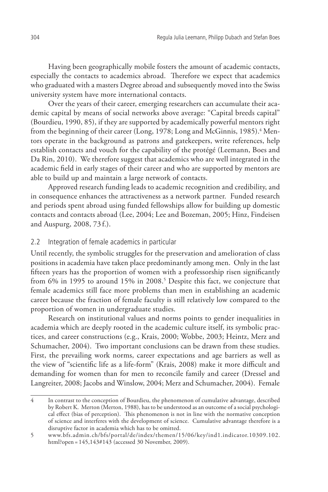Having been geographically mobile fosters the amount of academic contacts, especially the contacts to academics abroad. Therefore we expect that academics who graduated with a masters Degree abroad and subsequently moved into the Swiss university system have more international contacts.

Over the years of their career, emerging researchers can accumulate their academic capital by means of social networks above average: "Capital breeds capital" (Bourdieu, 1990, 85), if they are supported by academically powerful mentors right from the beginning of their career (Long, 1978; Long and McGinnis, 1985).<sup>4</sup> Mentors operate in the background as patrons and gatekeepers, write references, help establish contacts and vouch for the capability of the protégé (Leemann, Boes and Da Rin, 2010). We therefore suggest that academics who are well integrated in the academic field in early stages of their career and who are supported by mentors are able to build up and maintain a large network of contacts.

Approved research funding leads to academic recognition and credibility, and in consequence enhances the attractiveness as a network partner. Funded research and periods spent abroad using funded fellowships allow for building up domestic contacts and contacts abroad (Lee, 2004; Lee and Bozeman, 2005; Hinz, Findeisen and Auspurg, 2008, 73 f.).

# 2.2 Integration of female academics in particular

Until recently, the symbolic struggles for the preservation and amelioration of class positions in academia have taken place predominantly among men. Only in the last fifteen years has the proportion of women with a professorship risen significantly from 6% in 1995 to around 15% in 2008.<sup>5</sup> Despite this fact, we conjecture that female academics still face more problems than men in establishing an academic career because the fraction of female faculty is still relatively low compared to the proportion of women in undergraduate studies.

Research on institutional values and norms points to gender inequalities in academia which are deeply rooted in the academic culture itself, its symbolic practices, and career constructions (e.g., Krais, 2000; Wobbe, 2003; Heintz, Merz and Schumacher, 2004). Two important conclusions can be drawn from these studies. First, the prevailing work norms, career expectations and age barriers as well as the view of "scientific life as a life-form" (Krais, 2008) make it more difficult and demanding for women than for men to reconcile family and career (Dressel and Langreiter, 2008; Jacobs and Winslow, 2004; Merz and Schumacher, 2004). Female

<sup>4</sup> In contrast to the conception of Bourdieu, the phenomenon of cumulative advantage, described by Robert K. Merton (Merton, 1988), has to be understood as an outcome of a social psychological effect (bias of perception). This phenomenon is not in line with the normative conception of science and interferes with the development of science. Cumulative advantage therefore is a disruptive factor in academia which has to be omitted.

<sup>5</sup> www.bfs.admin.ch/bfs/portal/de/index/themen/15/06/key/ind1.indicator.10309.102. html?open = 145,143#143 (accessed 30 November, 2009).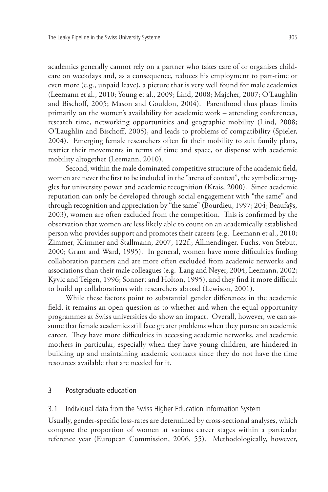academics generally cannot rely on a partner who takes care of or organises childcare on weekdays and, as a consequence, reduces his employment to part-time or even more (e.g., unpaid leave), a picture that is very well found for male academics (Leemann et al., 2010; Young et al., 2009; Lind, 2008; Majcher, 2007; O'Laughlin and Bischoff, 2005; Mason and Gouldon, 2004). Parenthood thus places limits primarily on the women's availability for academic work – attending conferences, research time, networking opportunities and geographic mobility (Lind, 2008; O'Laughlin and Bischoff, 2005), and leads to problems of compatibility (Spieler, 2004). Emerging female researchers often fit their mobility to suit family plans, restrict their movements in terms of time and space, or dispense with academic mobility altogether (Leemann, 2010).

Second, within the male dominated competitive structure of the academic field, women are never the first to be included in the "arena of contest", the symbolic struggles for university power and academic recognition (Krais, 2000). Since academic reputation can only be developed through social engagement with "the same" and through recognition and appreciation by "the same" (Bourdieu, 1997; 204; Beaufaÿs, 2003), women are often excluded from the competition. This is confirmed by the observation that women are less likely able to count on an academically established person who provides support and promotes their careers (e.g. Leemann et al., 2010; Zimmer, Krimmer and Stallmann, 2007, 122f.; Allmendinger, Fuchs, von Stebut, 2000; Grant and Ward, 1995). In general, women have more difficulties finding collaboration partners and are more often excluded from academic networks and associations than their male colleagues (e.g. Lang and Neyer, 2004; Leemann, 2002; Kyvic and Teigen, 1996; Sonnert and Holton, 1995), and they find it more difficult to build up collaborations with researchers abroad (Lewison, 2001).

While these factors point to substantial gender differences in the academic field, it remains an open question as to whether and when the equal opportunity programmes at Swiss universities do show an impact. Overall, however, we can assume that female academics still face greater problems when they pursue an academic career. They have more difficulties in accessing academic networks, and academic mothers in particular, especially when they have young children, are hindered in building up and maintaining academic contacts since they do not have the time resources available that are needed for it.

### 3 Postgraduate education

#### 3.1 Individual data from the Swiss Higher Education Information System

Usually, gender-specific loss-rates are determined by cross-sectional analyses, which compare the proportion of women at various career stages within a particular reference year (European Commission, 2006, 55). Methodologically, however,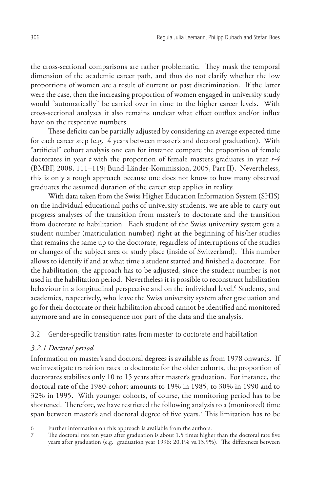the cross-sectional comparisons are rather problematic. They mask the temporal dimension of the academic career path, and thus do not clarify whether the low proportions of women are a result of current or past discrimination. If the latter were the case, then the increasing proportion of women engaged in university study would "automatically" be carried over in time to the higher career levels. With cross-sectional analyses it also remains unclear what effect outflux and/or influx have on the respective numbers.

These deficits can be partially adjusted by considering an average expected time for each career step (e.g. 4 years between master's and doctoral graduation). With "artificial" cohort analysis one can for instance compare the proportion of female doctorates in year *t* with the proportion of female masters graduates in year *t-4* (BMBF, 2008, 111–119; Bund-Länder-Kommission, 2005, Part II). Nevertheless, this is only a rough approach because one does not know to how many observed graduates the assumed duration of the career step applies in reality.

With data taken from the Swiss Higher Education Information System (SHIS) on the individual educational paths of university students, we are able to carry out progress analyses of the transition from master's to doctorate and the transition from doctorate to habilitation. Each student of the Swiss university system gets a student number (matriculation number) right at the beginning of his/her studies that remains the same up to the doctorate, regardless of interruptions of the studies or changes of the subject area or study place (inside of Switzerland). This number allows to identify if and at what time a student started and finished a doctorate. For the habilitation, the approach has to be adjusted, since the student number is not used in the habilitation period. Nevertheless it is possible to reconstruct habilitation behaviour in a longitudinal perspective and on the individual level.<sup>6</sup> Students, and academics, respectively, who leave the Swiss university system after graduation and go for their doctorate or their habilitation abroad cannot be identified and monitored anymore and are in consequence not part of the data and the analysis.

## 3.2 Gender-specific transition rates from master to doctorate and habilitation

## *3.2.1 Doctoral period*

Information on master's and doctoral degrees is available as from 1978 onwards. If we investigate transition rates to doctorate for the older cohorts, the proportion of doctorates stabilises only 10 to 15 years after master's graduation. For instance, the doctoral rate of the 1980-cohort amounts to 19% in 1985, to 30% in 1990 and to 32% in 1995. With younger cohorts, of course, the monitoring period has to be shortened. Therefore, we have restricted the following analysis to a (monitored) time span between master's and doctoral degree of five years.7 This limitation has to be

<sup>6</sup> Further information on this approach is available from the authors.

<sup>7</sup> The doctoral rate ten years after graduation is about 1.5 times higher than the doctoral rate five years after graduation (e.g. graduation year 1996: 20.1% vs.13.9%). The differences between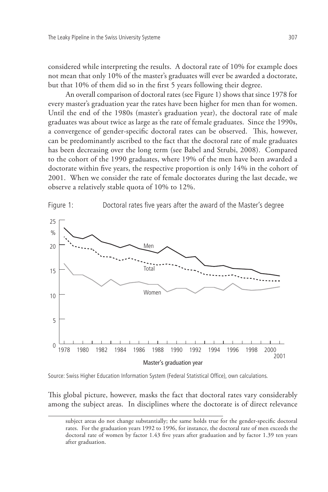considered while interpreting the results. A doctoral rate of 10% for example does not mean that only 10% of the master's graduates will ever be awarded a doctorate, but that 10% of them did so in the first 5 years following their degree.

An overall comparison of doctoral rates (see Figure 1) shows that since 1978 for every master's graduation year the rates have been higher for men than for women. Until the end of the 1980s (master's graduation year), the doctoral rate of male graduates was about twice as large as the rate of female graduates. Since the 1990s, a convergence of gender-specific doctoral rates can be observed. This, however, can be predominantly ascribed to the fact that the doctoral rate of male graduates has been decreasing over the long term (see Babel and Strubi, 2008). Compared to the cohort of the 1990 graduates, where 19% of the men have been awarded a doctorate within five years, the respective proportion is only 14% in the cohort of 2001. When we consider the rate of female doctorates during the last decade, we observe a relatively stable quota of 10% to 12%.



Source: Swiss Higher Education Information System (Federal Statistical Office), own calculations.

This global picture, however, masks the fact that doctoral rates vary considerably among the subject areas. In disciplines where the doctorate is of direct relevance

subject areas do not change substantially; the same holds true for the gender-specific doctoral rates. For the graduation years 1992 to 1996, for instance, the doctoral rate of men exceeds the doctoral rate of women by factor 1.43 five years after graduation and by factor 1.39 ten years after graduation.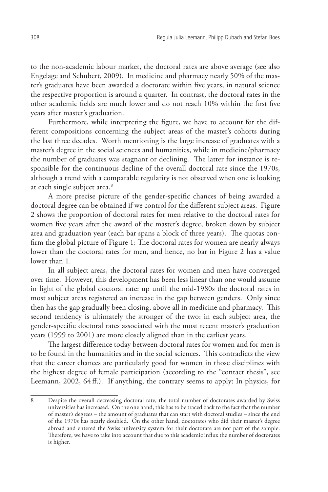to the non-academic labour market, the doctoral rates are above average (see also Engelage and Schubert, 2009). In medicine and pharmacy nearly 50% of the master's graduates have been awarded a doctorate within five years, in natural science the respective proportion is around a quarter. In contrast, the doctoral rates in the other academic fields are much lower and do not reach 10% within the first five years after master's graduation.

Furthermore, while interpreting the figure, we have to account for the different compositions concerning the subject areas of the master's cohorts during the last three decades. Worth mentioning is the large increase of graduates with a master's degree in the social sciences and humanities, while in medicine/pharmacy the number of graduates was stagnant or declining. The latter for instance is responsible for the continuous decline of the overall doctoral rate since the 1970s, although a trend with a comparable regularity is not observed when one is looking at each single subject area.<sup>8</sup>

A more precise picture of the gender-specific chances of being awarded a doctoral degree can be obtained if we control for the different subject areas. Figure 2 shows the proportion of doctoral rates for men relative to the doctoral rates for women five years after the award of the master's degree, broken down by subject area and graduation year (each bar spans a block of three years). The quotas confirm the global picture of Figure 1: The doctoral rates for women are nearly always lower than the doctoral rates for men, and hence, no bar in Figure 2 has a value lower than 1.

In all subject areas, the doctoral rates for women and men have converged over time. However, this development has been less linear than one would assume in light of the global doctoral rate: up until the mid-1980s the doctoral rates in most subject areas registered an increase in the gap between genders. Only since then has the gap gradually been closing, above all in medicine and pharmacy. This second tendency is ultimately the stronger of the two: in each subject area, the gender-specific doctoral rates associated with the most recent master's graduation years (1999 to 2001) are more closely aligned than in the earliest years.

The largest difference today between doctoral rates for women and for men is to be found in the humanities and in the social sciences. This contradicts the view that the career chances are particularly good for women in those disciplines with the highest degree of female participation (according to the "contact thesis", see Leemann, 2002, 64 ff.). If anything, the contrary seems to apply: In physics, for

<sup>8</sup> Despite the overall decreasing doctoral rate, the total number of doctorates awarded by Swiss universities has increased. On the one hand, this has to be traced back to the fact that the number of master's degrees – the amount of graduates that can start with doctoral studies – since the end of the 1970s has nearly doubled. On the other hand, doctorates who did their master's degree abroad and entered the Swiss university system for their doctorate are not part of the sample. Therefore, we have to take into account that due to this academic influx the number of doctorates is higher.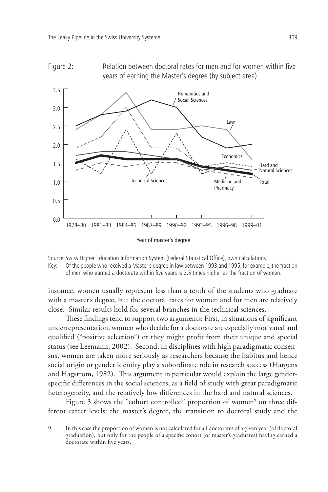



Source: Swiss Higher Education Information System (Federal Statistical Office), own calculations Key: Of the people who received a Master's degree in law between 1993 and 1995, for example, the fraction of men who earned a doctorate within five years is 2.5 times higher as the fraction of women.

instance, women usually represent less than a tenth of the students who graduate with a master's degree, but the doctoral rates for women and for men are relatively close. Similar results hold for several branches in the technical sciences.

These findings tend to support two arguments: First, in situations of significant underrepresentation, women who decide for a doctorate are especially motivated and qualified ("positive selection") or they might profit from their unique and special status (see Leemann, 2002). Second, in disciplines with high paradigmatic consensus, women are taken more seriously as researchers because the habitus and hence social origin or gender identity play a subordinate role in research success (Hargens and Hagstrom, 1982). This argument in particular would explain the large genderspecific differences in the social sciences, as a field of study with great paradigmatic heterogeneity, and the relatively low differences in the hard and natural sciences.

Figure 3 shows the "cohort controlled" proportion of women<sup>9</sup> on three different career levels: the master's degree, the transition to doctoral study and the

<sup>9</sup> In this case the proportion of women is not calculated for all doctorates of a given year (of doctoral graduation), but only for the people of a specific cohort (of master's graduates) having earned a doctorate within five years.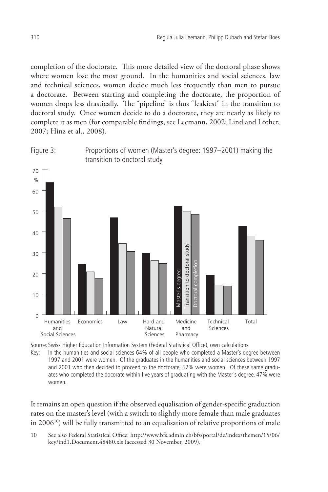completion of the doctorate. This more detailed view of the doctoral phase shows where women lose the most ground. In the humanities and social sciences, law and technical sciences, women decide much less frequently than men to pursue a doctorate. Between starting and completing the doctorate, the proportion of women drops less drastically. The "pipeline" is thus "leakiest" in the transition to doctoral study. Once women decide to do a doctorate, they are nearly as likely to complete it as men (for comparable findings, see Leemann, 2002; Lind and Löther, 2007; Hinz et al., 2008).





Source: Swiss Higher Education Information System (Federal Statistical Office), own calculations.

Key: In the humanities and social sciences 64% of all people who completed a Master's degree between 1997 and 2001 were women. Of the graduates in the humanities and social sciences between 1997 and 2001 who then decided to proceed to the doctorate, 52% were women. Of these same graduates who completed the docorate within five years of graduating with the Master's degree, 47% were women.

It remains an open question if the observed equalisation of gender-specific graduation rates on the master's level (with a switch to slightly more female than male graduates in  $2006^{10}$ ) will be fully transmitted to an equalisation of relative proportions of male

<sup>10</sup> See also Federal Statistical Office: http://www.bfs.admin.ch/bfs/portal/de/index/themen/15/06/ key/ind1.Document.48480.xls (accessed 30 November, 2009).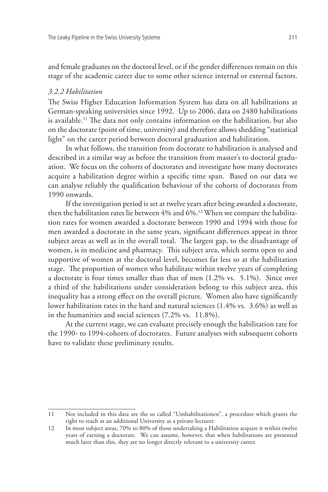and female graduates on the doctoral level, or if the gender differences remain on this stage of the academic career due to some other science internal or external factors.

### *3.2.2 Habilitation*

The Swiss Higher Education Information System has data on all habilitations at German-speaking universities since 1992. Up to 2006, data on 2480 habilitations is available.11 The data not only contains information on the habilitation, but also on the doctorate (point of time, university) and therefore allows shedding "statistical light" on the career period between doctoral graduation and habilitation.

In what follows, the transition from doctorate to habilitation is analysed and described in a similar way as before the transition from master's to doctoral graduation. We focus on the cohorts of doctorates and investigate how many doctorates acquire a habilitation degree within a specific time span. Based on our data we can analyse reliably the qualification behaviour of the cohorts of doctorates from 1990 onwards.

If the investigation period is set at twelve years after being awarded a doctorate, then the habilitation rates lie between 4% and 6%.12 When we compare the habilitation rates for women awarded a doctorate between 1990 and 1994 with those for men awarded a doctorate in the same years, significant differences appear in three subject areas as well as in the overall total. The largest gap, to the disadvantage of women, is in medicine and pharmacy. This subject area, which seems open to and supportive of women at the doctoral level, becomes far less so at the habilitation stage. The proportion of women who habilitate within twelve years of completing a doctorate is four times smaller than that of men (1.2% vs. 5.1%). Since over a third of the habilitations under consideration belong to this subject area, this inequality has a strong effect on the overall picture. Women also have significantly lower habilitation rates in the hard and natural sciences (1.4% vs. 3.6%) as well as in the humanities and social sciences (7.2% vs. 11.8%).

At the current stage, we can evaluate precisely enough the habilitation rate for the 1990- to 1994-cohorts of doctorates. Future analyses with subsequent cohorts have to validate these preliminary results.

<sup>11</sup> Not included in this data are the so called "Umhabilitationen", a procedure which grants the right to teach at an additional University as a private lecturer.

<sup>12</sup> In most subject areas, 70% to 80% of those undertaking a Habilitation acquire it within twelve years of earning a doctorate. We can assume, however, that when habilitations are presented much later than this, they are no longer directly relevant to a university career.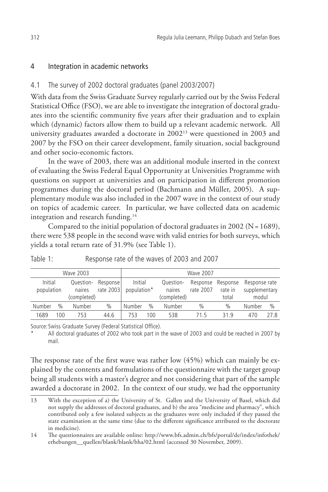# 4 Integration in academic networks

# 4.1 The survey of 2002 doctoral graduates (panel 2003/2007)

With data from the Swiss Graduate Survey regularly carried out by the Swiss Federal Statistical Office (FSO), we are able to investigate the integration of doctoral graduates into the scientific community five years after their graduation and to explain which (dynamic) factors allow them to build up a relevant academic network. All university graduates awarded a doctorate in 200213 were questioned in 2003 and 2007 by the FSO on their career development, family situation, social background and other socio-economic factors.

In the wave of 2003, there was an additional module inserted in the context of evaluating the Swiss Federal Equal Opportunity at Universities Programme with questions on support at universities and on participation in different promotion programmes during the doctoral period (Bachmann and Müller, 2005). A supplementary module was also included in the 2007 wave in the context of our study on topics of academic career. In particular, we have collected data on academic integration and research funding.<sup>14</sup>

Compared to the initial population of doctoral graduates in 2002 (N= 1689), there were 538 people in the second wave with valid entries for both surveys, which yields a total return rate of 31.9% (see Table 1).

| Wave 2003             |               |                                    | <b>Wave 2007</b>        |                        |               |                                    |               |                                       |                                         |      |
|-----------------------|---------------|------------------------------------|-------------------------|------------------------|---------------|------------------------------------|---------------|---------------------------------------|-----------------------------------------|------|
| Initial<br>population |               | Question-<br>naires<br>(completed) | Response  <br>rate 2003 | Initial<br>population* |               | Question-<br>naires<br>(completed) | rate 2007     | Response Response<br>rate in<br>total | Response rate<br>supplementary<br>modul |      |
| Number                | $\frac{0}{0}$ | Number                             | $\frac{0}{0}$           | Number                 | $\frac{0}{0}$ | Number                             | $\frac{0}{0}$ | $\frac{0}{0}$                         | <b>Number</b>                           | $\%$ |
| 1689                  | 100           | 753                                | 44.6                    | 753                    | 100           | 538                                | 715           | 319                                   | 470                                     | 27 R |

Table 1: Response rate of the waves of 2003 and 2007

Source: Swiss Graduate Survey (Federal Statistical Office).

All doctoral graduates of 2002 who took part in the wave of 2003 and could be reached in 2007 by mail.

The response rate of the first wave was rather low (45%) which can mainly be explained by the contents and formulations of the questionnaire with the target group being all students with a master's degree and not considering that part of the sample awarded a doctorate in 2002. In the context of our study, we had the opportunity

<sup>13</sup> With the exception of a) the University of St. Gallen and the University of Basel, which did not supply the addresses of doctoral graduates, and b) the area "medicine and pharmacy", which contributed only a few isolated subjects as the graduates were only included if they passed the state examination at the same time (due to the different significance attributed to the doctorate in medicine).

<sup>14</sup> The questionnaires are available online: http://www.bfs.admin.ch/bfs/portal/de/index/infothek/ erhebungen\_\_quellen/blank/blank/bha/02.html (accessed 30 November, 2009).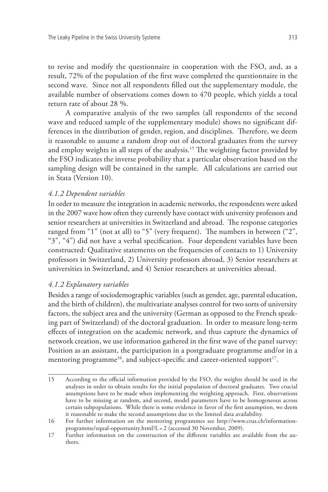to revise and modify the questionnaire in cooperation with the FSO, and, as a result, 72% of the population of the first wave completed the questionnaire in the second wave. Since not all respondents filled out the supplementary module, the available number of observations comes down to 470 people, which yields a total return rate of about 28 %.

A comparative analysis of the two samples (all respondents of the second wave and reduced sample of the supplementary module) shows no significant differences in the distribution of gender, region, and disciplines. Therefore, we deem it reasonable to assume a random drop out of doctoral graduates from the survey and employ weights in all steps of the analysis.<sup>15</sup> The weighting factor provided by the FSO indicates the inverse probability that a particular observation based on the sampling design will be contained in the sample. All calculations are carried out in Stata (Version 10).

## *4.1.2 Dependent variables*

In order to measure the integration in academic networks, the respondents were asked in the 2007 wave how often they currently have contact with university professors and senior researchers at universities in Switzerland and abroad. The response categories ranged from "1" (not at all) to "5" (very frequent). The numbers in between ("2", "3", "4") did not have a verbal specification. Four dependent variables have been constructed: Qualitative statements on the frequencies of contacts to 1) University professors in Switzerland, 2) University professors abroad, 3) Senior researchers at universities in Switzerland, and 4) Senior researchers at universities abroad.

### *4.1.2 Explanatory variables*

Besides a range of sociodemographic variables (such as gender, age, parental education, and the birth of children), the multivariate analyses control for two sorts of university factors, the subject area and the university (German as opposed to the French speaking part of Switzerland) of the doctoral graduation. In order to measure long-term effects of integration on the academic network, and thus capture the dynamics of network creation, we use information gathered in the first wave of the panel survey: Position as an assistant, the participation in a postgraduate programme and/or in a mentoring programme<sup>16</sup>, and subject-specific and career-oriented support<sup>17</sup>.

<sup>15</sup> According to the official information provided by the FSO, the weights should be used in the analyses in order to obtain results for the initial population of doctoral graduates. Two crucial assumptions have to be made when implementing the weighting approach. First, observations have to be missing at random, and second, model parameters have to be homogeneous across certain subpopulations. While there is some evidence in favor of the first assumption, we deem it reasonable to make the second assumptions due to the limited data availability.

<sup>16</sup> For further information on the mentoring programmes see http://www.crus.ch/informationprogramme/equal-opportunity.html?L = 2 (accessed 30 November, 2009).

<sup>17</sup> Further information on the construction of the different variables are available from the authors.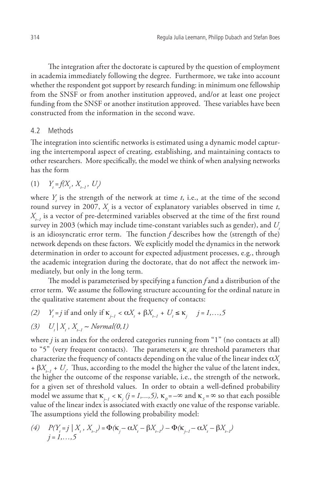The integration after the doctorate is captured by the question of employment in academia immediately following the degree. Furthermore, we take into account whether the respondent got support by research funding: in minimum one fellowship from the SNSF or from another institution approved, and/or at least one project funding from the SNSF or another institution approved. These variables have been constructed from the information in the second wave.

#### 4.2 Methods

The integration into scientific networks is estimated using a dynamic model capturing the intertemporal aspect of creating, establishing, and maintaining contacts to other researchers. More specifically, the model we think of when analysing networks has the form

 $(1)$  $=f(X_t, X_{t-1}, U_t)$ 

where  $Y_t$  is the strength of the network at time  $t$ , i.e., at the time of the second round survey in 2007,  $X_t$  is a vector of explanatory variables observed in time *t*, *Xt–1* is a vector of pre-determined variables observed at the time of the first round survey in 2003 (which may include time-constant variables such as gender), and *Ut* is an idiosyncratic error term. The function *f* describes how the (strength of the) network depends on these factors. We explicitly model the dynamics in the network determination in order to account for expected adjustment processes, e.g., through the academic integration during the doctorate, that do not affect the network immediately, but only in the long term.

The model is parameterised by specifying a function *f* and a distribution of the error term. We assume the following structure accounting for the ordinal nature in the qualitative statement about the frequency of contacts:

 $(2)$  $= j$  if and only if  $\kappa_{j-1} < \alpha X_t + \beta X_{t-1} + U_t \le \kappa_j \quad j = 1, \ldots, 5$ 

(3) 
$$
U_t | X_t, X_{t-1} \sim Normal(0, 1)
$$

where *j* is an index for the ordered categories running from "1" (no contacts at all) to "5" (very frequent contacts). The parameters κ*j* are threshold parameters that characterize the frequency of contacts depending on the value of the linear index  $\alpha X$ *+*  $\beta X_{t-1}$  *+ U<sub>t</sub>*. Thus, according to the model the higher the value of the latent index, the higher the outcome of the response variable, i.e., the strength of the network, for a given set of threshold values. In order to obtain a well-defined probability model we assume that  $\kappa_{j-1} < \kappa_j$  (j = 1,..., 5),  $\kappa_0 = -\infty$  and  $\kappa_5 = \infty$  so that each possible value of the linear index is associated with exactly one value of the response variable. The assumptions yield the following probability model:

(4) 
$$
P(Y_t = j | X_t, X_{t-1}) = \Phi(\kappa_j - \alpha X_t - \beta X_{t-1}) - \Phi(\kappa_{j-1} - \alpha X_t - \beta X_{t-1})
$$
  
  $j = 1,...,5$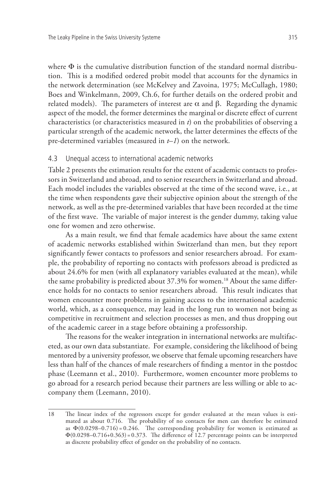where Φ is the cumulative distribution function of the standard normal distribution. This is a modified ordered probit model that accounts for the dynamics in the network determination (see McKelvey and Zavoina, 1975; McCullagh, 1980; Boes and Winkelmann, 2009, Ch.6, for further details on the ordered probit and related models). The parameters of interest are  $\alpha$  and  $\beta$ . Regarding the dynamic aspect of the model, the former determines the marginal or discrete effect of current characteristics (or characteristics measured in *t*) on the probabilities of observing a particular strength of the academic network, the latter determines the effects of the pre-determined variables (measured in *t–1*) on the network.

### 4.3 Unequal access to international academic networks

Table 2 presents the estimation results for the extent of academic contacts to professors in Switzerland and abroad, and to senior researchers in Switzerland and abroad. Each model includes the variables observed at the time of the second wave, i.e., at the time when respondents gave their subjective opinion about the strength of the network, as well as the pre-determined variables that have been recorded at the time of the first wave. The variable of major interest is the gender dummy, taking value one for women and zero otherwise.

As a main result, we find that female academics have about the same extent of academic networks established within Switzerland than men, but they report significantly fewer contacts to professors and senior researchers abroad. For example, the probability of reporting no contacts with professors abroad is predicted as about 24.6% for men (with all explanatory variables evaluated at the mean), while the same probability is predicted about 37.3% for women.<sup>18</sup> About the same difference holds for no contacts to senior researchers abroad. This result indicates that women encounter more problems in gaining access to the international academic world, which, as a consequence, may lead in the long run to women not being as competitive in recruitment and selection processes as men, and thus dropping out of the academic career in a stage before obtaining a professorship.

The reasons for the weaker integration in international networks are multifaceted, as our own data substantiate. For example, considering the likelihood of being mentored by a university professor, we observe that female upcoming researchers have less than half of the chances of male researchers of finding a mentor in the postdoc phase (Leemann et al., 2010). Furthermore, women encounter more problems to go abroad for a research period because their partners are less willing or able to accompany them (Leemann, 2010).

<sup>18</sup> The linear index of the regressors except for gender evaluated at the mean values is estimated as about 0.716. The probability of no contacts for men can therefore be estimated as  $\Phi(0.0298-0.716) = 0.246$ . The corresponding probability for women is estimated as  $\Phi(0.0298-0.716+0.363) = 0.373$ . The difference of 12.7 percentage points can be interpreted as discrete probability effect of gender on the probability of no contacts.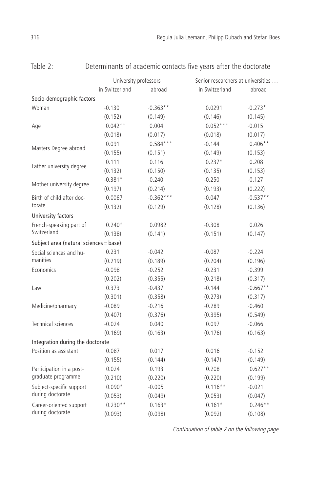|                                        | University professors |             | Senior researchers at universities |            |  |  |
|----------------------------------------|-----------------------|-------------|------------------------------------|------------|--|--|
|                                        | in Switzerland        |             |                                    |            |  |  |
|                                        |                       | abroad      | in Switzerland                     | abroad     |  |  |
| Socio-demographic factors              |                       |             |                                    |            |  |  |
| Woman                                  | $-0.130$              | $-0.363**$  | 0.0291                             | $-0.273*$  |  |  |
|                                        | (0.152)               | (0.149)     | (0.146)                            | (0.145)    |  |  |
| Age                                    | $0.042**$             | 0.004       | $0.052***$                         | $-0.015$   |  |  |
|                                        | (0.018)               | (0.017)     | (0.018)                            | (0.017)    |  |  |
| Masters Degree abroad                  | 0.091                 | $0.584***$  | $-0.144$                           | $0.406**$  |  |  |
|                                        | (0.155)               | (0.151)     | (0.149)                            | (0.153)    |  |  |
| Father university degree               | 0.111                 | 0.116       | $0.237*$                           | 0.208      |  |  |
|                                        | (0.132)               | (0.150)     | (0.135)                            | (0.153)    |  |  |
| Mother university degree               | $-0.381*$             | $-0.240$    | $-0.250$                           | $-0.127$   |  |  |
|                                        | (0.197)               | (0.214)     | (0.193)                            | (0.222)    |  |  |
| Birth of child after doc-              | 0.0067                | $-0.362***$ | $-0.047$                           | $-0.537**$ |  |  |
| torate                                 | (0.132)               | (0.129)     | (0.128)                            | (0.136)    |  |  |
| University factors                     |                       |             |                                    |            |  |  |
| French-speaking part of                | $0.240*$              | 0.0982      | $-0.308$                           | 0.026      |  |  |
| Switzerland                            | (0.138)               | (0.141)     | (0.151)                            | (0.147)    |  |  |
| Subject area (natural sciences = base) |                       |             |                                    |            |  |  |
| Social sciences and hu-                | 0.231                 | $-0.042$    | $-0.087$                           | $-0.224$   |  |  |
| manities                               | (0.219)               | (0.189)     | (0.204)                            | (0.196)    |  |  |
| Economics                              | $-0.098$              | $-0.252$    | $-0.231$                           | $-0.399$   |  |  |
|                                        | (0.202)               | (0.355)     | (0.218)                            | (0.317)    |  |  |
| Law                                    | 0.373                 | $-0.437$    | $-0.144$                           | $-0.667**$ |  |  |
|                                        | (0.301)               | (0.358)     | (0.273)                            | (0.317)    |  |  |
| Medicine/pharmacy                      | $-0.089$              | $-0.216$    | $-0.289$                           | $-0.460$   |  |  |
|                                        | (0.407)               | (0.376)     | (0.395)                            | (0.549)    |  |  |
| <b>Technical sciences</b>              | $-0.024$              | 0.040       | 0.097                              | $-0.066$   |  |  |
|                                        | (0.169)               | (0.163)     | (0.176)                            | (0.163)    |  |  |
| Integration during the doctorate       |                       |             |                                    |            |  |  |
| Position as assistant                  | 0.087                 | 0.017       | 0.016                              | $-0.152$   |  |  |
|                                        | (0.155)               | (0.144)     | (0.147)                            | (0.149)    |  |  |
| Participation in a post-               | 0.024                 | 0.193       | 0.208                              | $0.627**$  |  |  |
| graduate programme                     | (0.210)               | (0.220)     | (0.220)                            | (0.199)    |  |  |
| Subject-specific support               | $0.090*$              | $-0.005$    | $0.116**$                          | $-0.021$   |  |  |
| during doctorate                       | (0.053)               | (0.049)     | (0.053)                            | (0.047)    |  |  |
| Career-oriented support                | $0.230**$             | $0.163*$    | $0.161*$                           | $0.246**$  |  |  |
| during doctorate                       | (0.093)               | (0.098)     | (0.092)                            | (0.108)    |  |  |

Table 2: Determinants of academic contacts five years after the doctorate

Continuation of table 2 on the following page.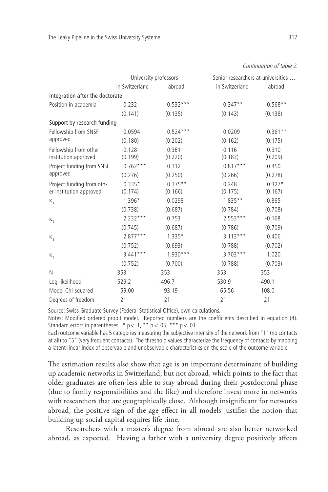|                                 |                | University professors | Senior researchers at universities |           |  |  |
|---------------------------------|----------------|-----------------------|------------------------------------|-----------|--|--|
|                                 | in Switzerland | abroad                | in Switzerland                     | abroad    |  |  |
| Integration after the doctorate |                |                       |                                    |           |  |  |
| Position in academia            | 0.232          | $0.532***$            | $0.347**$                          | $0.568**$ |  |  |
|                                 | (0.141)        | (0.135)               | (0.143)                            | (0.138)   |  |  |
| Support by research funding     |                |                       |                                    |           |  |  |
| Fellowship from SNSF            | 0.0594         | $0.524***$            | 0.0209                             | $0.361**$ |  |  |
| approved                        | (0.180)        | (0.202)               | (0.162)                            | (0.175)   |  |  |
| Fellowship from other           | $-0.128$       | 0.361                 | $-0.116$                           | 0.310     |  |  |
| institution approved            | (0.199)        | (0.220)               | (0.183)                            | (0.209)   |  |  |
| Project funding from SNSF       | $0.762***$     | 0.312                 | $0.817***$                         | 0.450     |  |  |
| approved                        | (0.276)        | (0.250)               | (0.266)                            | (0.278)   |  |  |
| Project funding from oth-       | $0.335*$       | $0.375**$             | 0.248                              | $0.327*$  |  |  |
| er institution approved         | (0.174)        | (0.166)               | (0.175)                            | (0.167)   |  |  |
| $K_1$                           | $1.396*$       | 0.0298                | $1.835***$                         | $-0.865$  |  |  |
|                                 | (0.738)        | (0.687)               | (0.784)                            | (0.708)   |  |  |
| $\kappa$ ,                      | $2.232***$     | 0.753                 | $2.553***$                         | $-0.168$  |  |  |
|                                 | (0.745)        | (0.687)               | (0.786)                            | (0.709)   |  |  |
| $\kappa$ <sub>3</sub>           | $2.877***$     | $1.335*$              | $3.113***$                         | 0.406     |  |  |
|                                 | (0.752)        | (0.693)               | (0.788)                            | (0.702)   |  |  |
| $\kappa_{\rm A}$                | $3.441***$     | $1.930***$            | $3.703***$                         | 1.020     |  |  |
|                                 | (0.752)        | (0.700)               | (0.788)                            | (0.703)   |  |  |
| N                               | 353            | 353                   | 353                                | 353       |  |  |
| Log-likelihood                  | $-529.2$       | $-496.7$              | $-530.9$                           | $-490.1$  |  |  |
| Model Chi-squared               | 59.00          | 93.19                 | 65.56                              | 108.0     |  |  |
| Degrees of freedom              | 21             | 21                    | 21                                 | 21        |  |  |

| Continuation of table 2 |  |  |
|-------------------------|--|--|
|                         |  |  |

Source: Swiss Graduate Survey (Federal Statistical Office), own calculations.

Notes: Modified ordered probit model. Reported numbers are the coefficients described in equation (4). Standard errors in parentheses. \*  $p < .1$ , \*\*  $p < .05$ , \*\*\*  $p < .01$ .

Each outcome variable has 5 categories measuring the subjective intensity of the network from"1" (no contacts at all) to "5" (very frequent contacts). The threshold values characterize the frequency of contacts by mapping a latent linear index of observable and unobservable characteristics on the scale of the outcome variable.

The estimation results also show that age is an important determinant of building up academic networks in Switzerland, but not abroad, which points to the fact that older graduates are often less able to stay abroad during their postdoctoral phase (due to family responsibilities and the like) and therefore invest more in networks with researchers that are geographically close. Although insignificant for networks abroad, the positive sign of the age effect in all models justifies the notion that building up social capital requires life time.

Researchers with a master's degree from abroad are also better networked abroad, as expected. Having a father with a university degree positively affects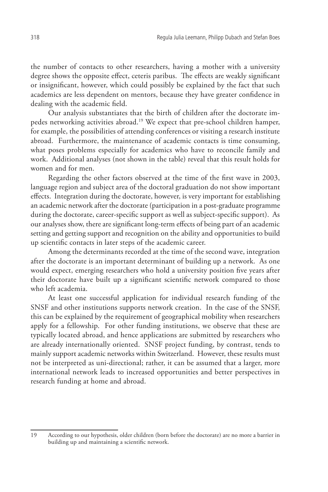the number of contacts to other researchers, having a mother with a university degree shows the opposite effect, ceteris paribus. The effects are weakly significant or insignificant, however, which could possibly be explained by the fact that such academics are less dependent on mentors, because they have greater confidence in dealing with the academic field.

Our analysis substantiates that the birth of children after the doctorate impedes networking activities abroad.19 We expect that pre-school children hamper, for example, the possibilities of attending conferences or visiting a research institute abroad. Furthermore, the maintenance of academic contacts is time consuming, what poses problems especially for academics who have to reconcile family and work. Additional analyses (not shown in the table) reveal that this result holds for women and for men.

Regarding the other factors observed at the time of the first wave in 2003, language region and subject area of the doctoral graduation do not show important effects. Integration during the doctorate, however, is very important for establishing an academic network after the doctorate (participation in a post-graduate programme during the doctorate, career-specific support as well as subject-specific support). As our analyses show, there are significant long-term effects of being part of an academic setting and getting support and recognition on the ability and opportunities to build up scientific contacts in later steps of the academic career.

Among the determinants recorded at the time of the second wave, integration after the doctorate is an important determinant of building up a network. As one would expect, emerging researchers who hold a university position five years after their doctorate have built up a significant scientific network compared to those who left academia.

At least one successful application for individual research funding of the SNSF and other institutions supports network creation. In the case of the SNSF, this can be explained by the requirement of geographical mobility when researchers apply for a fellowship. For other funding institutions, we observe that these are typically located abroad, and hence applications are submitted by researchers who are already internationally oriented. SNSF project funding, by contrast, tends to mainly support academic networks within Switzerland. However, these results must not be interpreted as uni-directional; rather, it can be assumed that a larger, more international network leads to increased opportunities and better perspectives in research funding at home and abroad.

<sup>19</sup> According to our hypothesis, older children (born before the doctorate) are no more a barrier in building up and maintaining a scientific network.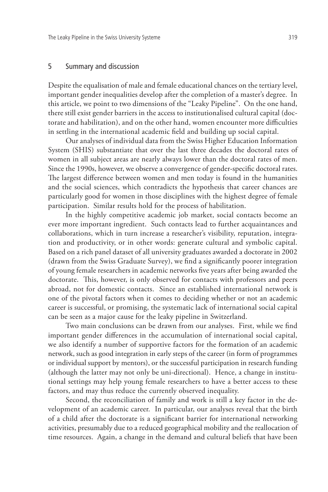## 5 Summary and discussion

Despite the equalisation of male and female educational chances on the tertiary level, important gender inequalities develop after the completion of a master's degree. In this article, we point to two dimensions of the "Leaky Pipeline". On the one hand, there still exist gender barriers in the access to institutionalised cultural capital (doctorate and habilitation), and on the other hand, women encounter more difficulties in settling in the international academic field and building up social capital.

Our analyses of individual data from the Swiss Higher Education Information System (SHIS) substantiate that over the last three decades the doctoral rates of women in all subject areas are nearly always lower than the doctoral rates of men. Since the 1990s, however, we observe a convergence of gender-specific doctoral rates. The largest difference between women and men today is found in the humanities and the social sciences, which contradicts the hypothesis that career chances are particularly good for women in those disciplines with the highest degree of female participation. Similar results hold for the process of habilitation.

In the highly competitive academic job market, social contacts become an ever more important ingredient. Such contacts lead to further acquaintances and collaborations, which in turn increase a researcher's visibility, reputation, integration and productivity, or in other words: generate cultural and symbolic capital. Based on a rich panel dataset of all university graduates awarded a doctorate in 2002 (drawn from the Swiss Graduate Survey), we find a significantly poorer integration of young female researchers in academic networks five years after being awarded the doctorate. This, however, is only observed for contacts with professors and peers abroad, not for domestic contacts. Since an established international network is one of the pivotal factors when it comes to deciding whether or not an academic career is successful, or promising, the systematic lack of international social capital can be seen as a major cause for the leaky pipeline in Switzerland.

Two main conclusions can be drawn from our analyses. First, while we find important gender differences in the accumulation of international social capital, we also identify a number of supportive factors for the formation of an academic network, such as good integration in early steps of the career (in form of programmes or individual support by mentors), or the successful participation in research funding (although the latter may not only be uni-directional). Hence, a change in institutional settings may help young female researchers to have a better access to these factors, and may thus reduce the currently observed inequality.

Second, the reconciliation of family and work is still a key factor in the development of an academic career. In particular, our analyses reveal that the birth of a child after the doctorate is a significant barrier for international networking activities, presumably due to a reduced geographical mobility and the reallocation of time resources. Again, a change in the demand and cultural beliefs that have been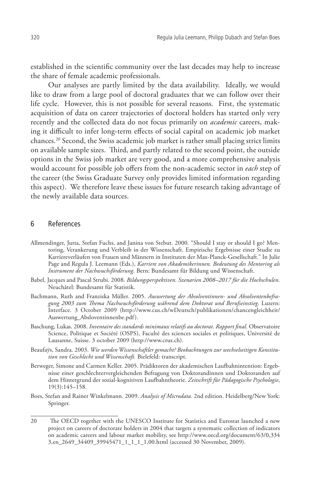established in the scientific community over the last decades may help to increase the share of female academic professionals.

Our analyses are partly limited by the data availability. Ideally, we would like to draw from a large pool of doctoral graduates that we can follow over their life cycle. However, this is not possible for several reasons. First, the systematic acquisition of data on career trajectories of doctoral holders has started only very recently and the collected data do not focus primarily on *academic* careers, making it difficult to infer long-term effects of social capital on academic job market chances.20 Second, the Swiss academic job market is rather small placing strict limits on available sample sizes. Third, and partly related to the second point, the outside options in the Swiss job market are very good, and a more comprehensive analysis would account for possible job offers from the non-academic sector in *each* step of the career (the Swiss Graduate Survey only provides limited information regarding this aspect). We therefore leave these issues for future research taking advantage of the newly available data sources.

#### 6 References

- Allmendinger, Jutta, Stefan Fuchs, and Janina von Stebut. 2000. "Should I stay or should I go? Mentoring, Verankerung und Verbleib in der Wissenschaft. Empirische Ergebnisse einer Studie zu Karriereverläufen von Frauen und Männern in Instituten der Max-Planck-Gesellschaft." In Julie Page and Regula J. Leemann (Eds.), *Karriere von Akademikerinnen. Bedeutung des Mentoring als Instrument der Nachwuchsförderung*. Bern: Bundesamt für Bildung und Wissenschaft.
- Babel, Jacques and Pascal Strubi. 2008. *Bildungsperspektiven. Szenarien 2008–2017 für die Hochschulen*. Neuchâtel: Bundesamt für Statistik.
- Bachmann, Ruth and Franziska Müller. 2005. *Auswertung der Absolventinnen- und Absolventenbefragung 2003 zum Thema Nachwuchsförderung während dem Doktorat und Berufseinstieg*. Luzern: Interface. 3 October 2009 (http://www.cus.ch/wDeutsch/publikationen/chancengleichheit/ Auswertung\_Absloventinnenbe.pdf).
- Baschung, Lukas. 2008. *Inventaire des standards minimaux relatifs au doctorat. Rapport final*. Observatoire Science, Politique et Société (OSPS), Faculté des sciences sociales et politiques, Université de Lausanne, Suisse. 3 october 2009 (http://www.crus.ch).
- Beaufaÿs, Sandra. 2003. *Wie werden Wissenschaftler gemacht? Beobachtungen zur wechselseitigen Konstitution von Geschlecht und Wissenschaft.* Bielefeld: transcript.
- Berweger, Simone and Carmen Keller. 2005. Prädiktoren der akademischen Laufbahnintention: Ergebnisse einer geschlechtervergleichenden Befragung von Doktorandinnen und Doktoranden auf dem Hintergrund der sozial-kognitiven Laufbahntheorie. *Zeitschrift für Pädagogische Psychologie*, 19(3):145–158.
- Boes, Stefan and Rainer Winkelmann. 2009. *Analysis of Microdata.* 2nd edition. Heidelberg/New York: Springer.

<sup>20</sup> The OECD together with the UNESCO Institute for Statistics and Eurostat launched a new project on careers of doctorate holders in 2004 that targets a systematic collection of indicators on academic careers and labour market mobility, see http://www.oecd.org/document/63/0,334 3,en\_2649\_34409\_39945471\_1\_1\_1\_1,00.html (accessed 30 November, 2009).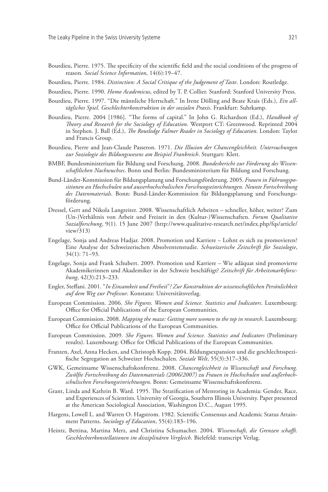- Bourdieu, Pierre. 1975. The specificity of the scientific field and the social conditions of the progress of reason*. Social Science Information*, 14(6):19–47.
- Bourdieu, Pierre. 1984. *Distinction: A Social Critique of the Judgement of Taste*. London: Routledge.
- Bourdieu, Pierre. 1990. *Homo Academicus*, edited by T. P. Collier. Stanford: Stanford University Press.
- Bourdieu, Pierre. 1997. "Die männliche Herrschaft." In Irene Dölling and Beate Krais (Eds.), *Ein alltägliches Spiel. Geschlechterkonstruktion in der sozialen Praxis*. Frankfurt: Suhrkamp.
- Bourdieu, Pierre. 2004 [1986]. "The forms of capital." In John G. Richardson (Ed.), *Handbook of Theory and Research for the Sociology of Education*. Westport CT: Greenwood. Reprinted 2004 in Stephen. J. Ball (Ed.), *The Routledge Falmer Reader in Sociology of Education*. London: Taylor and Francis Group.
- Bourdieu, Pierre and Jean-Claude Passeron. 1971. *Die Illusion der Chancengleichheit. Untersuchungen zur Soziologie des Bildungswesens am Beispiel Frankreich*. Stuttgart: Klett.
- BMBF, Bundesministerium für Bildung und Forschung. 2008. *Bundesbericht zur Förderung des Wissenschaftlichen Nachwuchses*. Bonn und Berlin: Bundesministerium für Bildung und Forschung.
- Bund-Länder-Kommission für Bildungsplanung und Forschungsförderung. 2005. *Frauen in Führungspositionen an Hochschulen und ausserhochschulischen Forschungseinrichtungen. Neunte Fortschreibung des Datenmaterials*. Bonn: Bund-Länder-Kommission für Bildungsplanung und Forschungsförderung.
- Dressel, Gert and Nikola Langreiter. 2008. Wissenschaftlich Arbeiten schneller, höher, weiter? Zum (Un-)Verhältnis von Arbeit und Freizeit in den (Kultur-)Wissenschaften. *Forum Qualitative Sozialforschung*, 9(1). 15 June 2007 (http://www.qualitative-research.net/index.php/fqs/article/ view/313)
- Engelage, Sonja and Andreas Hadjar. 2008. Promotion und Karriere Lohnt es sich zu promovieren? Eine Analyse der Schweizerischen Absolventenstudie. *Schweizerische Zeitschrift für Soziologie*, 34(1): 71–93.
- Engelage, Sonja and Frank Schubert. 2009. Promotion und Karriere Wie adäquat sind promovierte Akademikerinnen und Akademiker in der Schweiz beschäftigt? *Zeitschrift für Arbeitsmarktforschung*, 42(3):213–233.
- Engler, Steffani. 2001. "*In Einsamkeit und Freiheit*"*? Zur Konstruktion der wissenschaftlichen Persönlichkeit auf dem Weg zur Professur*. Konstanz: Universitätsverlag.
- European Commission. 2006. *She Figures. Women and Science. Statistics and Indicators*. Luxembourg: Office for Official Publications of the European Communities.
- European Commission. 2008. *Mapping the maze: Getting more women to the top in research*. Luxembourg: Office for Official Publications of the European Communities.
- European Commission. 2009. *She Figures. Women and Science. Statistics and Indicators* (Preliminary results). Luxembourg: Office for Official Publications of the European Communities.
- Franzen, Axel, Anna Hecken, and Christoph Kopp. 2004. Bildungsexpansion und die geschlechtsspezifische Segregation an Schweizer Hochschulen. *Soziale Welt*, 55(3):317–336.
- GWK, Gemeinsame Wissenschaftskonferenz. 2008. *Chancengleichheit in Wissenschaft und Forschung. Zwölfte Fortschreibung des Datenmaterials (2006/2007) zu Frauen in Hochschulen und außerhochschulischen Forschungseinrichtungen*. Bonn: Gemeinsame Wissenschaftskonferenz.
- Grant, Linda and Kathrin B. Ward. 1995. The Stratification of Mentoring in Academia: Gender, Race, and Experiences of Scientists. University of Georgia, Southern Illinois University. Paper presented at the American Sociological Association, Washington D.C., August 1995.
- Hargens, Lowell L. and Warren O. Hagstrom. 1982. Scientific Consensus and Academic Status Attainment Patterns. *Sociology of Education*, 55(4):183–196.
- Heintz, Bettina, Martina Merz, and Christina Schumacher. 2004. *Wissenschaft, die Grenzen schafft. Geschlechterkonstellationen im disziplinären Vergleich*. Bielefeld: transcript Verlag.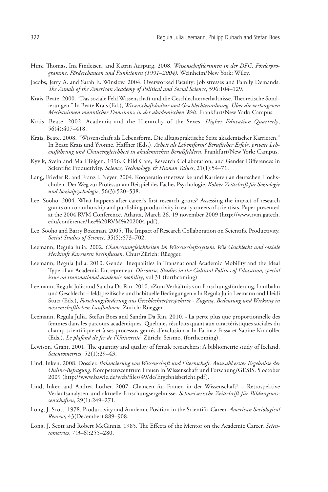- Hinz, Thomas, Ina Findeisen, and Katrin Auspurg. 2008. *Wissenschaftlerinnen in der DFG. Förderprogramme, Förderchancen und Funktionen (1991–2004)*. Weinheim/New York: Wiley.
- Jacobs, Jerry A. and Sarah E. Winslow. 2004. Overworked Faculty: Job stresses and Family Demands. *The Annals of the American Academy of Political and Social Science*, 596:104–129.
- Krais, Beate. 2000. "Das soziale Feld Wissenschaft und die Geschlechterverhältnisse. Theoretische Sondierungen." In Beate Krais (Ed.), *Wissenschaftskultur und Geschlechterordnung. Über die verborgenen Mechanismen männlicher Dominanz in der akademischen Welt*. Frankfurt/New York: Campus.
- Krais, Beate. 2002. Academia and the Hierarchy of the Sexes. *Higher Education Quarterly*, 56(4):407–418.
- Krais, Beate. 2008. "Wissenschaft als Lebensform. Die alltagspraktische Seite akademischer Karrieren." In Beate Krais und Yvonne. Haffner (Eds.), *Arbeit als Lebensform? Beruflicher Erfolg, private Lebensführung und Chancengleichheit in akademischen Berufsfeldern*. Frankfurt/New York: Campus.
- Kyvik, Svein and Mari Teigen. 1996. Child Care, Research Collaboration, and Gender Differences in Scientific Productivity. *Science, Technology, & Human Values*, 21(1):54–71.
- Lang, Frieder R. and Franz J. Neyer. 2004. Kooperationsnetzwerke und Karrieren an deutschen Hochschulen. Der Weg zur Professur am Beispiel des Faches Psychologie. *Kölner Zeitschrift für Soziologie und Sozialpsychologie*, 56(3):520–538.
- Lee, Sooho. 2004. What happens after career's first research grants? Assessing the impact of research grants on co-authorship and publishing productivity in early careers of scientists. Paper presented at the 2004 RVM Conference, Atlanta, March 26. 19 november 2009 (http://www.rvm.gatech. edu/conference/Lee%20RVM%202004.pdf).
- Lee, Sooho and Barry Bozeman. 2005. The Impact of Research Collaboration on Scientific Productivity. *Social Studies of Science,* 35(5):673–702.
- Leemann, Regula Julia. 2002. *Chancenungleichheiten im Wissenschaftssystem. Wie Geschlecht und soziale Herkunft Karrieren beeinflussen*. Chur/Zürich: Rüegger.
- Leemann, Regula Julia. 2010. Gender Inequalities in Transnational Academic Mobility and the Ideal Type of an Academic Entrepreneur. *Discourse, Studies in the Cultural Politics of Education, special issue on transnational academic mobility*, vol 31 (forthcoming)
- Leemann, Regula Julia and Sandra Da Rin. 2010. «Zum Verhältnis von Forschungsförderung, Laufbahn und Geschlecht – feldspezifische und habituelle Bedingungen.» In Regula Julia Leemann and Heidi Stutz (Eds.), *Forschungsförderung aus Geschlechterperspektive - Zugang, Bedeutung und Wirkung in wissenschaftlichen Laufbahnen*. Zürich: Rüegger.
- Leemann, Regula Julia, Stefan Boes and Sandra Da Rin. 2010. « La perte plus que proportionnelle des femmes dans les parcours académiques. Quelques résultats quant aux caractéristiques sociales du champ scientifique et à ses processus genrés d'exclusion.» In Farinaz Fassa et Sabine Kradolfer (Eds.), *Le plafond de fer de l'Université*. Zürich: Seismo. (forthcoming).
- Lewison, Grant. 2001. The quantity and quality of female researchers: A bibliometric study of Iceland. *Scientometrics*, 52(1):29–43.
- Lind, Inken. 2008. Dossier. *Balancierung von Wissenschaft und Elternschaft. Auswahl erster Ergebnisse der Online-Befragung*. Kompetenzzentrum Frauen in Wissenschaft und Forschung/GESIS. 5 october 2009 (http://www.bawie.de/web/files/49/de/Ergebnisbericht.pdf).
- Lind, Inken and Andrea Löther. 2007. Chancen für Frauen in der Wissenschaft? Retrospektive Verlaufsanalysen und aktuelle Forschungsergebnisse. *Schweizerische Zeitschrift für Bildungswissenschaften*, 29(1):249–271.
- Long, J. Scott. 1978. Productivity and Academic Position in the Scientific Career. *American Sociological Review*, 43(December):889–908.
- Long, J. Scott and Robert McGinnis. 1985. The Effects of the Mentor on the Academic Career. *Scientometrics*, 7(3–6):255–280.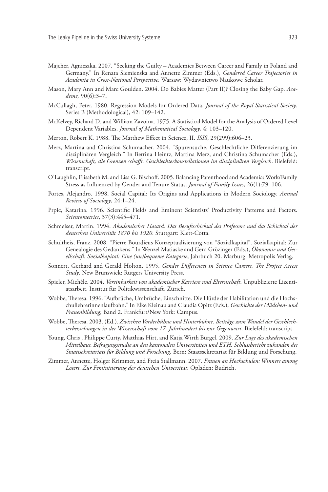- Majcher, Agnieszka. 2007. "Seeking the Guilty Academics Between Career and Family in Poland and Germany." In Renata Siemienska and Annette Zimmer (Eds.), *Gendered Career Trajectories in Academia in Cross-National Perspective*. Warsaw: Wydawnictwo Naukowe Scholar.
- Mason, Mary Ann and Marc Goulden. 2004. Do Babies Matter (Part II)? Closing the Baby Gap. *Academe,* 90(6):3–7.
- McCullagh, Peter. 1980. Regression Models for Ordered Data. *Journal of the Royal Statistical Society*. Series B (Methodological), 42: 109–142.
- McKelvey, Richard D. and William Zavoina. 1975. A Statistical Model for the Analysis of Ordered Level Dependent Variables. *Journal of Mathematical Sociology*, 4: 103–120.
- Merton, Robert K. 1988. The Matthew Effect in Science, II. *ISIS*, 29(299):606–23.
- Merz, Martina and Christina Schumacher. 2004. "Spurensuche. Geschlechtliche Differenzierung im disziplinären Vergleich." In Bettina Heintz, Martina Merz, and Christina Schumacher (Eds.), *Wissenschaft, die Grenzen schafft. Geschlechterkonstellationen im disziplinären Vergleich*. Bielefeld: transcript.
- O'Laughlin, Elisabeth M. and Lisa G. Bischoff. 2005. Balancing Parenthood and Academia: Work/Family Stress as Influenced by Gender and Tenure Status. *Journal of Family Issues*, 26(1):79–106.
- Portes, Alejandro. 1998. Social Capital: Its Origins and Applications in Modern Sociology. *Annual Review of Sociology*, 24:1–24.
- Prpic, Katarina. 1996. Scientific Fields and Eminent Scientists' Productivity Patterns and Factors. *Scientometrics*, 37(3):445–471.
- Schmeiser, Martin. 1994. *Akademischer Hasard. Das Berufsschicksal des Professors und das Schicksal der deutschen Universität 1870 bis 1920*. Stuttgart: Klett-Cotta.
- Schultheis, Franz. 2008. "Pierre Bourdieus Konzeptualisierung von "Sozialkapital". Sozialkapital: Zur Genealogie des Gedankens." In Wenzel Matiaske and Gerd Grözinger (Eds.), *Ökonomie und Gesellschaft. Sozialkapital: Eine (un)bequeme Kategorie*, Jahrbuch 20. Marburg: Metropolis Verlag.
- Sonnert, Gerhard and Gerald Holton. 1995. *Gender Differences in Science Careers. The Project Access Study*. New Brunswick: Rutgers University Press.
- Spieler, Michèle. 2004. *Vereinbarkeit von akademischer Karriere und Elternschaft*. Unpublizierte Lizentiatsarbeit. Institut für Politikwissenschaft, Zürich.
- Wobbe, Theresa. 1996. "Aufbrüche, Umbrüche, Einschnitte. Die Hürde der Habilitation und die Hochschullehrerinnenlaufbahn." In Elke Kleinau and Claudia Opitz (Eds.), *Geschichte der Mädchen- und Frauenbildung*, Band 2. Frankfurt/New York: Campus.
- Wobbe, Theresa. 2003. (Ed.). *Zwischen Vorderbühne und Hinterbühne. Beiträge zum Wandel der Geschlechterbeziehungen in der Wissenschaft vom 17. Jahrhundert bis zur Gegenwart*. Bielefeld: transcript.
- Young, Chris , Philippe Curty, Matthias Hirt, and Katja Wirth Bürgel. 2009. *Zur Lage des akademischen Mittelbaus. Befragungsstudie an den kantonalen Universitäten und ETH. Schlussbericht zuhanden des Staatssekretariats für Bildung und Forschung.* Bern: Staatssekretariat für Bildung und Forschung.
- Zimmer, Annette, Holger Krimmer, and Freia Stallmann. 2007. *Frauen an Hochschulen: Winners among Losers. Zur Feminisierung der deutschen Universität*. Opladen: Budrich.